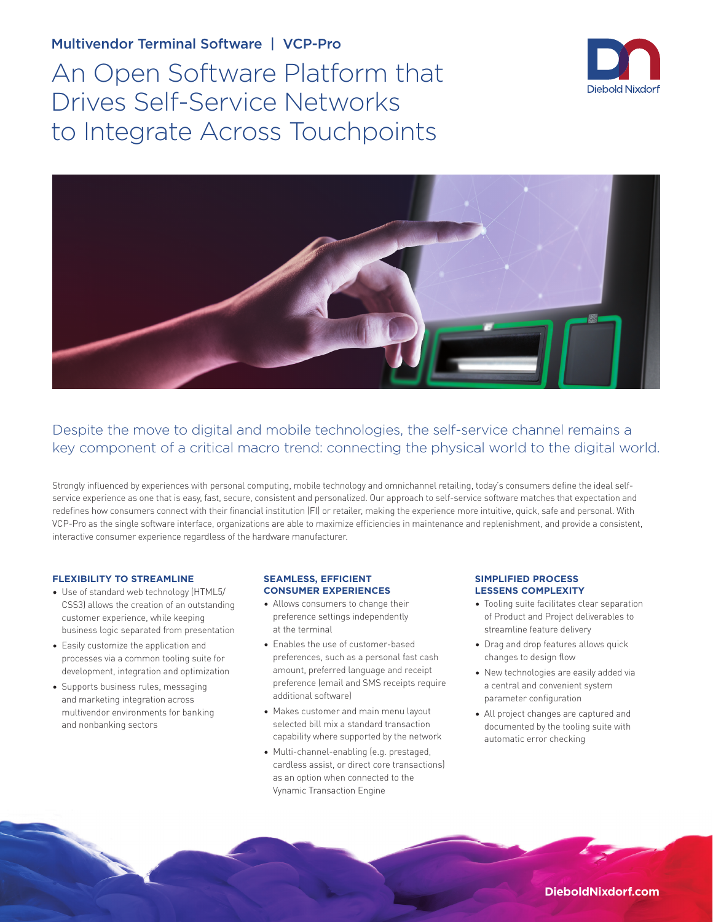## Multivendor Terminal Software | VCP-Pro

An Open Software Platform that Drives Self-Service Networks to Integrate Across Touchpoints





# Despite the move to digital and mobile technologies, the self-service channel remains a key component of a critical macro trend: connecting the physical world to the digital world.

Strongly influenced by experiences with personal computing, mobile technology and omnichannel retailing, today's consumers define the ideal selfservice experience as one that is easy, fast, secure, consistent and personalized. Our approach to self-service software matches that expectation and redefines how consumers connect with their financial institution (FI) or retailer, making the experience more intuitive, quick, safe and personal. With VCP-Pro as the single software interface, organizations are able to maximize efficiencies in maintenance and replenishment, and provide a consistent, interactive consumer experience regardless of the hardware manufacturer.

#### **FLEXIBILITY TO STREAMLINE**

- Use of standard web technology (HTML5/ CSS3) allows the creation of an outstanding customer experience, while keeping business logic separated from presentation
- Easily customize the application and processes via a common tooling suite for development, integration and optimization
- Supports business rules, messaging and marketing integration across multivendor environments for banking and nonbanking sectors

#### **SEAMLESS, EFFICIENT CONSUMER EXPERIENCES**

- Allows consumers to change their preference settings independently at the terminal
- Enables the use of customer-based preferences, such as a personal fast cash amount, preferred language and receipt preference (email and SMS receipts require additional software)
- Makes customer and main menu layout selected bill mix a standard transaction capability where supported by the network
- Multi-channel-enabling (e.g. prestaged, cardless assist, or direct core transactions) as an option when connected to the Vynamic Transaction Engine

#### **SIMPLIFIED PROCESS LESSENS COMPLEXITY**

- Tooling suite facilitates clear separation of Product and Project deliverables to streamline feature delivery
- Drag and drop features allows quick changes to design flow
- New technologies are easily added via a central and convenient system parameter configuration
- All project changes are captured and documented by the tooling suite with automatic error checking

**DieboldNixdorf.com**